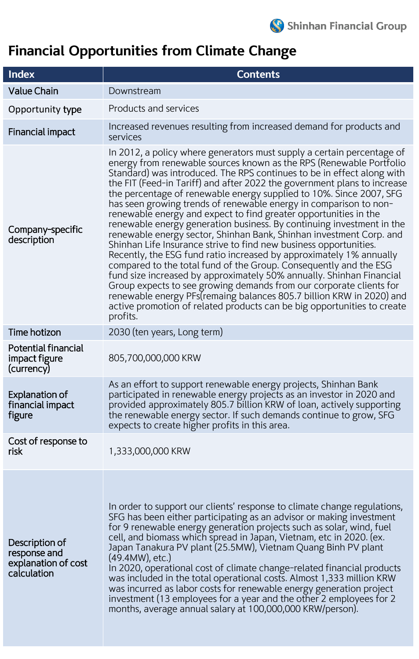## **Financial Opportunities from Climate Change**

| <b>Index</b>                                                         | <b>Contents</b>                                                                                                                                                                                                                                                                                                                                                                                                                                                                                                                                                                                                                                                                                                                                                                                                                                                                                                                                                                                                                                                                                                                                                                                    |  |
|----------------------------------------------------------------------|----------------------------------------------------------------------------------------------------------------------------------------------------------------------------------------------------------------------------------------------------------------------------------------------------------------------------------------------------------------------------------------------------------------------------------------------------------------------------------------------------------------------------------------------------------------------------------------------------------------------------------------------------------------------------------------------------------------------------------------------------------------------------------------------------------------------------------------------------------------------------------------------------------------------------------------------------------------------------------------------------------------------------------------------------------------------------------------------------------------------------------------------------------------------------------------------------|--|
| <b>Value Chain</b>                                                   | Downstream                                                                                                                                                                                                                                                                                                                                                                                                                                                                                                                                                                                                                                                                                                                                                                                                                                                                                                                                                                                                                                                                                                                                                                                         |  |
| Opportunity type                                                     | Products and services                                                                                                                                                                                                                                                                                                                                                                                                                                                                                                                                                                                                                                                                                                                                                                                                                                                                                                                                                                                                                                                                                                                                                                              |  |
| Financial impact                                                     | Increased revenues resulting from increased demand for products and<br>services                                                                                                                                                                                                                                                                                                                                                                                                                                                                                                                                                                                                                                                                                                                                                                                                                                                                                                                                                                                                                                                                                                                    |  |
| Company-specific<br>description                                      | In 2012, a policy where generators must supply a certain percentage of<br>energy from renewable sources known as the RPS (Renewable Portfolio<br>Standard) was introduced. The RPS continues to be in effect along with<br>the FIT (Feed-in Tariff) and after 2022 the government plans to increase<br>the percentage of renewable energy supplied to 10%. Since 2007, SFG<br>has seen growing trends of renewable energy in comparison to non-<br>renewable energy and expect to find greater opportunities in the<br>renewable energy generation business. By continuing investment in the<br>renewable energy sector, Shinhan Bank, Shinhan investment Corp. and<br>Shinhan Life Insurance strive to find new business opportunities.<br>Recently, the ESG fund ratio increased by approximately 1% annually<br>compared to the total fund of the Group. Consequently and the ESG<br>fund size increased by approximately 50% annually. Shinhan Financial<br>Group expects to see growing demands from our corporate clients for<br>renewable energy PFs(remaing balances 805.7 billion KRW in 2020) and<br>active promotion of related products can be big opportunities to create<br>profits. |  |
| Time hotizon                                                         | 2030 (ten years, Long term)                                                                                                                                                                                                                                                                                                                                                                                                                                                                                                                                                                                                                                                                                                                                                                                                                                                                                                                                                                                                                                                                                                                                                                        |  |
| <b>Potential financial</b><br>impact figure<br>(currency)            | 805,700,000,000 KRW                                                                                                                                                                                                                                                                                                                                                                                                                                                                                                                                                                                                                                                                                                                                                                                                                                                                                                                                                                                                                                                                                                                                                                                |  |
| <b>Explanation of</b><br>financial impact<br>figure                  | As an effort to support renewable energy projects, Shinhan Bank<br>participated in renewable energy projects as an investor in 2020 and<br>provided approximately 805.7 billion KRW of loan, actively supporting<br>the renewable energy sector. If such demands continue to grow, SFG<br>expects to create higher profits in this area.                                                                                                                                                                                                                                                                                                                                                                                                                                                                                                                                                                                                                                                                                                                                                                                                                                                           |  |
| Cost of response to<br>risk                                          | 1,333,000,000 KRW                                                                                                                                                                                                                                                                                                                                                                                                                                                                                                                                                                                                                                                                                                                                                                                                                                                                                                                                                                                                                                                                                                                                                                                  |  |
| Description of<br>response and<br>explanation of cost<br>calculation | In order to support our clients' response to climate change regulations,<br>SFG has been either participating as an advisor or making investment<br>for 9 renewable energy generation projects such as solar, wind, fuel<br>cell, and biomass which spread in Japan, Vietnam, etc in 2020. (ex.<br>Japan Tanakura PV plant (25.5MW), Vietnam Quang Binh PV plant<br>$(49.4MW)$ , etc.)<br>In 2020, operational cost of climate change-related financial products<br>was included in the total operational costs. Almost 1,333 million KRW<br>was incurred as labor costs for renewable energy generation project<br>investment (13 employees for a year and the other 2 employees for 2<br>months, average annual salary at 100,000,000 KRW/person).                                                                                                                                                                                                                                                                                                                                                                                                                                               |  |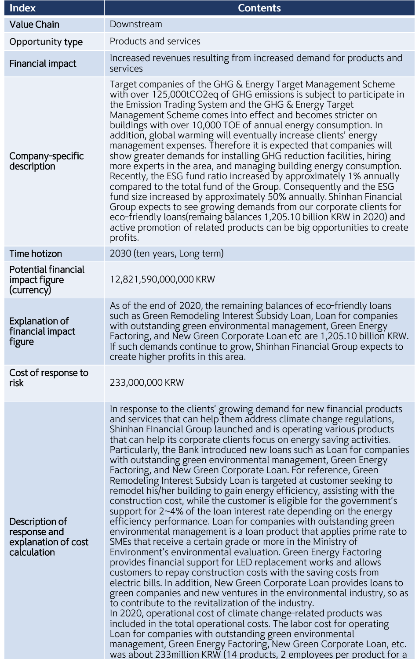| <b>Index</b>                                                         | <b>Contents</b>                                                                                                                                                                                                                                                                                                                                                                                                                                                                                                                                                                                                                                                                                                                                                                                                                                                                                                                                                                                                                                                                                                                                                                                                                                                                                                                                                                                                                                                                                                                                                                                                                                                                                                                                                                                     |  |
|----------------------------------------------------------------------|-----------------------------------------------------------------------------------------------------------------------------------------------------------------------------------------------------------------------------------------------------------------------------------------------------------------------------------------------------------------------------------------------------------------------------------------------------------------------------------------------------------------------------------------------------------------------------------------------------------------------------------------------------------------------------------------------------------------------------------------------------------------------------------------------------------------------------------------------------------------------------------------------------------------------------------------------------------------------------------------------------------------------------------------------------------------------------------------------------------------------------------------------------------------------------------------------------------------------------------------------------------------------------------------------------------------------------------------------------------------------------------------------------------------------------------------------------------------------------------------------------------------------------------------------------------------------------------------------------------------------------------------------------------------------------------------------------------------------------------------------------------------------------------------------------|--|
| <b>Value Chain</b>                                                   | Downstream                                                                                                                                                                                                                                                                                                                                                                                                                                                                                                                                                                                                                                                                                                                                                                                                                                                                                                                                                                                                                                                                                                                                                                                                                                                                                                                                                                                                                                                                                                                                                                                                                                                                                                                                                                                          |  |
| Opportunity type                                                     | Products and services                                                                                                                                                                                                                                                                                                                                                                                                                                                                                                                                                                                                                                                                                                                                                                                                                                                                                                                                                                                                                                                                                                                                                                                                                                                                                                                                                                                                                                                                                                                                                                                                                                                                                                                                                                               |  |
| <b>Financial impact</b>                                              | Increased revenues resulting from increased demand for products and<br>services                                                                                                                                                                                                                                                                                                                                                                                                                                                                                                                                                                                                                                                                                                                                                                                                                                                                                                                                                                                                                                                                                                                                                                                                                                                                                                                                                                                                                                                                                                                                                                                                                                                                                                                     |  |
| Company-specific<br>description                                      | Target companies of the GHG & Energy Target Management Scheme<br>with over 125,000tCO2eq of GHG emissions is subject to participate in<br>the Emission Trading System and the GHG & Energy Target<br>Management Scheme comes into effect and becomes stricter on<br>buildings with over 10,000 TOE of annual energy consumption. In<br>addition, global warming will eventually increase clients' energy<br>management expenses. Therefore it is expected that companies will<br>show greater demands for installing GHG reduction facilities, hiring<br>more experts in the area, and managing building energy consumption.<br>Recently, the ESG fund ratio increased by approximately 1% annually<br>compared to the total fund of the Group. Consequently and the ESG<br>fund size increased by approximately 50% annually. Shinhan Financial<br>Group expects to see growing demands from our corporate clients for<br>eco-friendly loans(remaing balances 1,205.10 billion KRW in 2020) and<br>active promotion of related products can be big opportunities to create<br>profits.                                                                                                                                                                                                                                                                                                                                                                                                                                                                                                                                                                                                                                                                                                             |  |
| <b>Time hotizon</b>                                                  | 2030 (ten years, Long term)                                                                                                                                                                                                                                                                                                                                                                                                                                                                                                                                                                                                                                                                                                                                                                                                                                                                                                                                                                                                                                                                                                                                                                                                                                                                                                                                                                                                                                                                                                                                                                                                                                                                                                                                                                         |  |
| <b>Potential financial</b><br>impact figure<br>(currency)            | 12,821,590,000,000 KRW                                                                                                                                                                                                                                                                                                                                                                                                                                                                                                                                                                                                                                                                                                                                                                                                                                                                                                                                                                                                                                                                                                                                                                                                                                                                                                                                                                                                                                                                                                                                                                                                                                                                                                                                                                              |  |
| <b>Explanation of</b><br>financial impact<br>figure                  | As of the end of 2020, the remaining balances of eco-friendly loans<br>such as Green Remodeling Interest Subsidy Loan, Loan for companies<br>with outstanding green environmental management, Green Energy<br>Factoring, and New Green Corporate Loan etc are 1,205.10 billion KRW.<br>If such demands continue to grow, Shinhan Financial Group expects to<br>create higher profits in this area.                                                                                                                                                                                                                                                                                                                                                                                                                                                                                                                                                                                                                                                                                                                                                                                                                                                                                                                                                                                                                                                                                                                                                                                                                                                                                                                                                                                                  |  |
| Cost of response to<br>risk                                          | 233,000,000 KRW                                                                                                                                                                                                                                                                                                                                                                                                                                                                                                                                                                                                                                                                                                                                                                                                                                                                                                                                                                                                                                                                                                                                                                                                                                                                                                                                                                                                                                                                                                                                                                                                                                                                                                                                                                                     |  |
| Description of<br>response and<br>explanation of cost<br>calculation | In response to the clients' growing demand for new financial products<br>and services that can help them address climate change regulations,<br>Shinhan Financial Group launched and is operating various products<br>that can help its corporate clients focus on energy saving activities.<br>Particularly, the Bank introduced new loans such as Loan for companies<br>with outstanding green environmental management, Green Energy<br>Factoring, and New Green Corporate Loan. For reference, Green<br>Remodeling Interest Subsidy Loan is targeted at customer seeking to<br>remodel his/her building to gain energy efficiency, assisting with the<br>construction cost, while the customer is eligible for the government's<br>support for 2~4% of the loan interest rate depending on the energy<br>efficiency performance. Loan for companies with outstanding green<br>environmental management is a loan product that applies prime rate to<br>SMEs that receive a certain grade or more in the Ministry of<br>Environment's environmental evaluation. Green Energy Factoring<br>provides financial support for LED replacement works and allows<br>customers to repay construction costs with the saving costs from<br>electric bills. In addition, New Green Corporate Loan provides loans to<br>green companies and new ventures in the environmental industry, so as<br>to contribute to the revitalization of the industry.<br>In 2020, operational cost of climate change-related products was<br>included in the total operational costs. The labor cost for operating<br>Loan for companies with outstanding green environmental<br>management, Green Energy Factoring, New Green Corporate Loan, etc.<br>was about 233 million KRW (14 products, 2 employees per product for a |  |

l